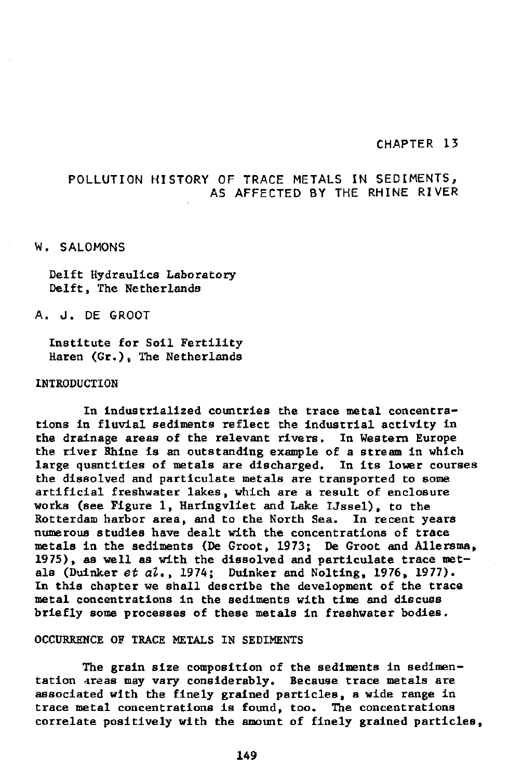### CHAPTER 13

# POLLUTION HISTORY OF TRACE METALS IN SEDIMENTS, AS AFFECTED BY THE RHINE RIVER

#### W. SALOMONS

Delft Hydraulics Laboratory Delft, The Netherlands

# A. J. DE GROOT

Institute for Soil Fertility Haren (Gr.), The Netherlands

#### INTRODUCTION

In industrialized countries the trace metal concentrations in fluvial sediments reflect the industrial activity in the drainage areas of the relevant rivers. In Western Europe the river Rhine is an outstanding example of a stream in which large quantities of metals are discharged. In its lower courses the dissolved and particulate metals are transported to some artificial freshwater lakes, which are a result of enclosure works (see Figure 1, Haringvliet and Lake IJssel), to the Rotterdam harbor area, and to the North Sea. In recent years numerous studies have dealt with the concentrations of trace metals in the sediments (De Groot, 1973; De Groot and Allersma, 1975), as well as with the dissolved and particulate trace metals (Duinker *et al.,* 1974; Duinker and Nolting, 1976, 1977). In this chapter we shall describe the development of the trace metal concentrations in the sediments with time and discuss briefly some processes of these metals in freshwater bodies.

## OCCURRENCE OF TRACE METALS IN SEDIMENTS

The grain size composition of the sediments in sedimentation areas may vary considerably. Because trace metals are associated with the finely grained particles, a wide range in trace metal concentrations is found, too. The concentrations correlate positively with the amount of finely grained particles,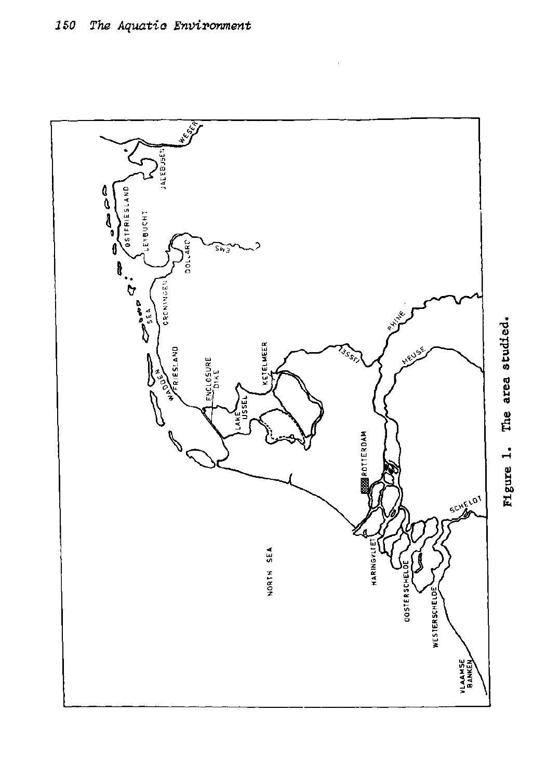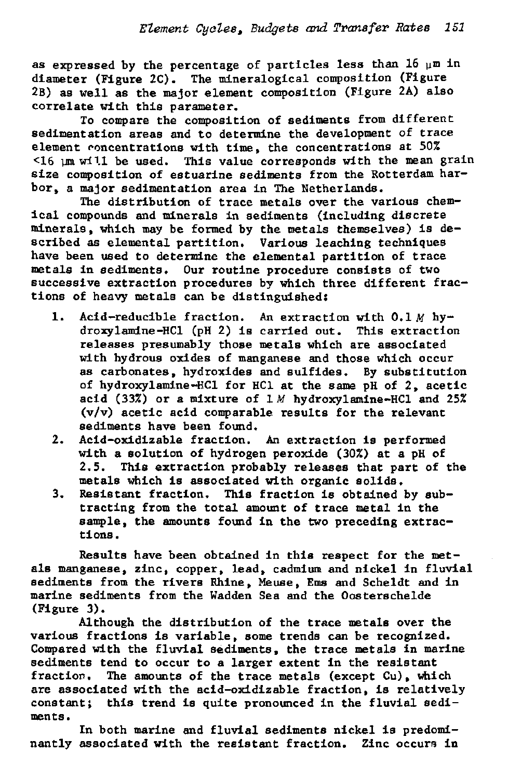as expressed by the percentage of particles less than 16  $\mu$ m in diameter (Figure 2C). The mineralogical composition (Figure 2B) as well as the major element composition (Figure 2A) also correlate with this parameter.

To compare the composition of sediments from different sedimentation areas and to determine the development of trace element concentrations with time, the concentrations at 50%  $\leq$ 16  $\mu$ m will be used. This value corresponds with the mean grain size composition of estuarine sediments from the Rotterdam harbor, a major sedimentation area in The Netherlands.

The distribution of trace metals over the various chemical compounds and minerals in sediments (including discrete minerals, which may be formed by the metals themselves) is described as elemental partition. Various leaching techniques have been used to determine the elemental partition of trace metals in sediments. Our routine procedure consists of two successive extraction procedures by which three different fractions of heavy metals can be distinguished:

- 1. Acid-reducible fraction. An extraction with 0.1 *M* hydroxylamine-HCl (pH 2) is carried out. This extraction releases presumably those metals which are associated with hydrous oxides of manganese and those which occur as carbonates, hydroxides and sulfides. By substitution of hydroxylamine-HCl for HCl at the same pH of 2, acetic acid (33%) or a mixture of 1 *M* hydroxylamine-HCl and 25% (v/v) acetic acid comparable results for the relevant sediments have been found.
- 2. Acid-oxidizable fraction. An extraction is performed with a solution of hydrogen peroxide (30%) at a pH of 2.5. This extraction probably releases that part of the metals which is associated with organic solids.
- 3. Resistant fraction. This fraction is obtained by subtracting from the total amount of trace metal in the sample, the amounts found in the two preceding extractions .

Results have been obtained in this respect for the metals manganese, zinc, copper, lead, cadmium and nickel in fluvial sediments from the rivers Rhine, Meuse, Ems and Scheldt and in marine sediments from the Wadden Sea and the Oosterschelde (Figure 3).

Although the distribution of the trace metals over the various fractions is variable, some trends can be recognized. Compared with the fluvial sediments, the trace metals in marine sediments tend to occur to a larger extent in the resistant fraction. The amounts of the trace metals (except Cu), which are associated with the acid-oxidizable fraction, is relatively constant; this trend is quite pronounced in the fluvial sediments.

In both marine and fluvial sediments nickel is predominantly associated with the resistant fraction. Zinc occurs in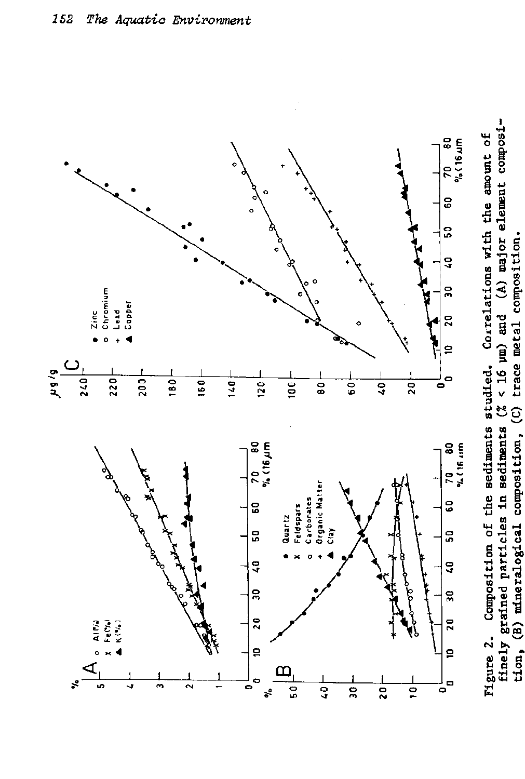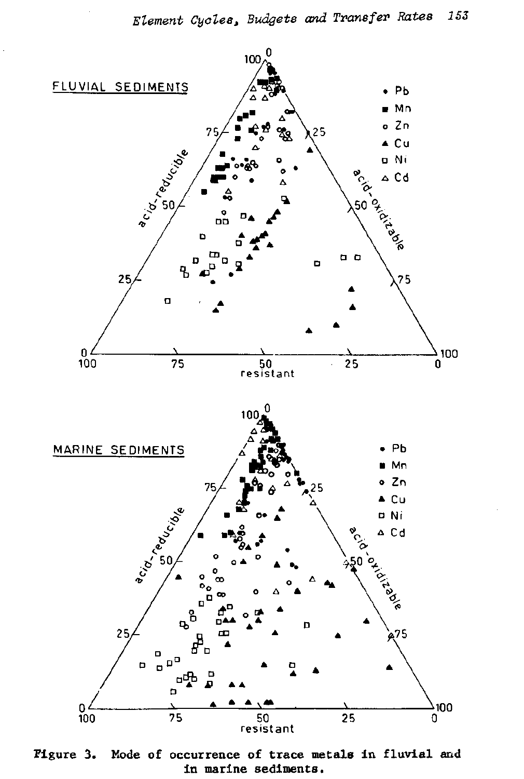

**Figure 3. Mode of occurrence of trace metals in fluvial and in marine sediments.**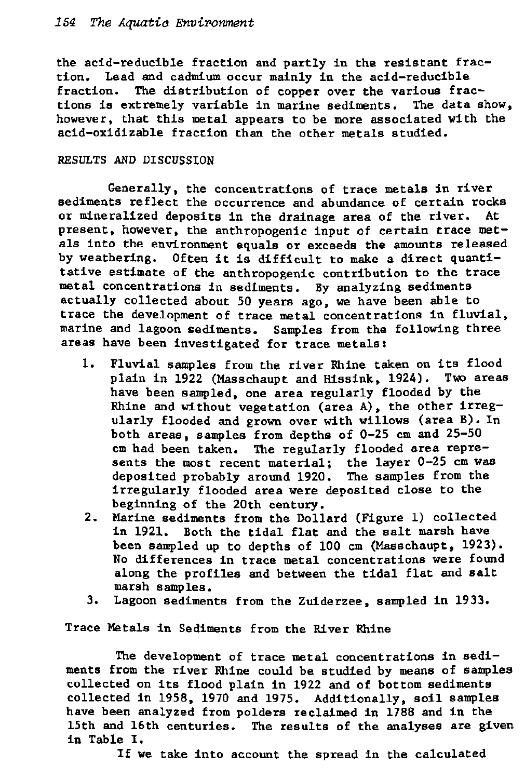the acid-reducible fraction and partly in the resistant fraction. Lead and cadmium occur mainly in the acid-reducible fraction. The distribution of copper over the various fractions is extremely variable in marine sediments. The data show, however, that this metal appears to be more associated with the acid-oxidizable fraction than the other metals studied.

# RESULTS AND DISCUSSION

Generally, the concentrations of trace metals in river sediments reflect the occurrence and abundance of certain rocks or mineralized deposits in the drainage area of the river. At present, however, the anthropogenic input of certain trace metals into the environment equals or exceeds the amounts released by weathering. Often it is difficult to make a direct quantitative estimate of the anthropogenic contribution to the trace metal concentrations in sediments. By analyzing sediments actually collected about 50 years ago, we have been able to trace the development of trace metal concentrations in fluvial, marine and lagoon sediments. Samples from the following three areas have been investigated for trace metals:

- 1. Fluvial samples from the river Rhine taken on its flood plain in 1922 (Masschaupt and Hissink, 1924). Two areas have been sampled, one area regularly flooded by the Rhine and without vegetation (area A) , the other irregularly flooded and grown over with willows (area B). In both areas, samples from depths of 0-25 cm and 25-50 cm had been taken. The regularly flooded area represents the most recent material; the layer 0-25 cm was deposited probably around 1920. The samples from the irregularly flooded area were deposited close to the beginning of the 20th century.
- 2. Marine sediments from the Dollard (Figure 1) collected in 1921. Both the tidal flat and the salt marsh have been sampled up to depths of 100 cm (Masschaupt, 1923). No differences in trace metal concentrations were found along the profiles and between the tidal flat and salt marsh samples.
- 3. Lagoon sediments from the Zuiderzee, sampled in 1933.

Trace Metals in Sediments from the River Rhine

The development of trace metal concentrations in sediments from the river Rhine could be studied by means of samples collected on its flood plain in 1922 and of bottom sediments collected in 1958, 1970 and 1975. Additionally, soil samples have been analyzed from polders reclaimed in 1788 and in the 15th and 16th centuries. The results of the analyses are given in Table I.

If we take into account the spread in the calculated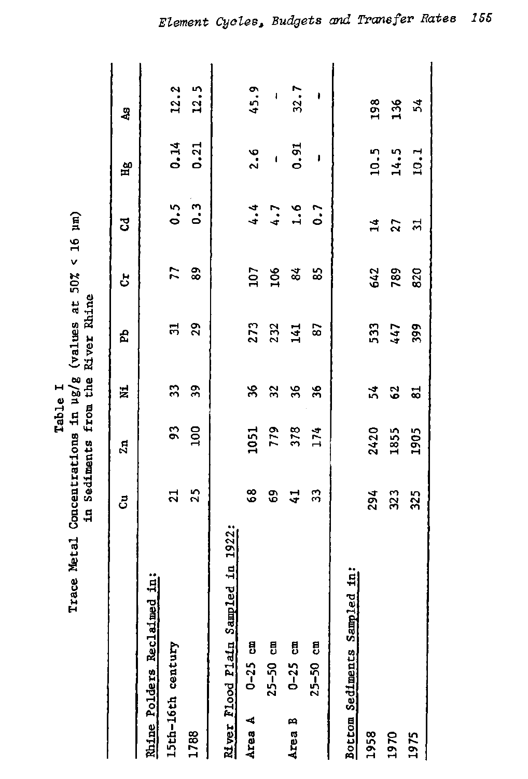| Table |                                                            |                                   |
|-------|------------------------------------------------------------|-----------------------------------|
|       | Trace Metal Concentrations in ug/g (values at 50% < 16 um) | in Sediments from the River Rhine |
|       |                                                            |                                   |
|       |                                                            |                                   |

|                  |                                    | ප්                                      | $\mathbf{z}_{\mathbf{a}}$ | 륯                       | Ê                 | 5               | F                       | $\mathbf{H}^{\mathbf{g}}$  | 43               |
|------------------|------------------------------------|-----------------------------------------|---------------------------|-------------------------|-------------------|-----------------|-------------------------|----------------------------|------------------|
|                  | <b>Rhine Polders Reclaimed in:</b> |                                         |                           |                         |                   |                 |                         |                            |                  |
|                  | 15th-16th century                  |                                         | 93                        | $\mathfrak{Z}$          | 51                |                 |                         |                            |                  |
| 1788             |                                    | $\begin{array}{c} 21 \\ 25 \end{array}$ | 100                       | $\mathfrak{D}$          | 29                | $77$ 89         | 0.3                     | $0.14$<br>$0.21$           | $12.3$<br>$12.5$ |
|                  |                                    |                                         |                           |                         |                   |                 |                         |                            |                  |
|                  | River Flood Plain Sampled in 1922; |                                         |                           |                         |                   |                 |                         |                            |                  |
| Area A           | $0-25$ cm                          |                                         |                           | $\frac{1}{2}$           |                   |                 |                         | 2.6                        | 45.9             |
|                  | $25 - 50$ cm                       |                                         |                           |                         |                   | $\frac{5}{106}$ |                         |                            | $\Gamma_{\rm c}$ |
| Area B           | $0-25$ cm                          | 8 9 4 3<br>8 9 4 3                      | 1051<br>779<br>378<br>174 | 7%                      | 273<br>232<br>141 | $\mathbf{g}$    | $4.7$<br>$4.7$<br>$0.7$ | $-0.91$                    | 32.7             |
|                  | $25 - 50$ cm                       |                                         |                           |                         | $\overline{8}$    | 85              |                         | $\sqrt{2}$                 | ŧ                |
| Bottom Sediments | Sampled in:                        |                                         |                           |                         |                   |                 |                         |                            |                  |
| 1958             |                                    |                                         | 2420                      |                         |                   | 642             |                         |                            |                  |
| 1970             |                                    | 294<br>323                              | 1855                      | 54<br>62                | 533<br>447        | 789             | $\frac{14}{27}$         |                            | <b>98 R</b> 54   |
| 1975             |                                    | 325                                     | 1905                      | $\overline{\mathbf{z}}$ | 399               | 820             | 늙                       | $10.5$<br>$14.5$<br>$10.1$ |                  |
|                  |                                    |                                         |                           |                         |                   |                 |                         |                            |                  |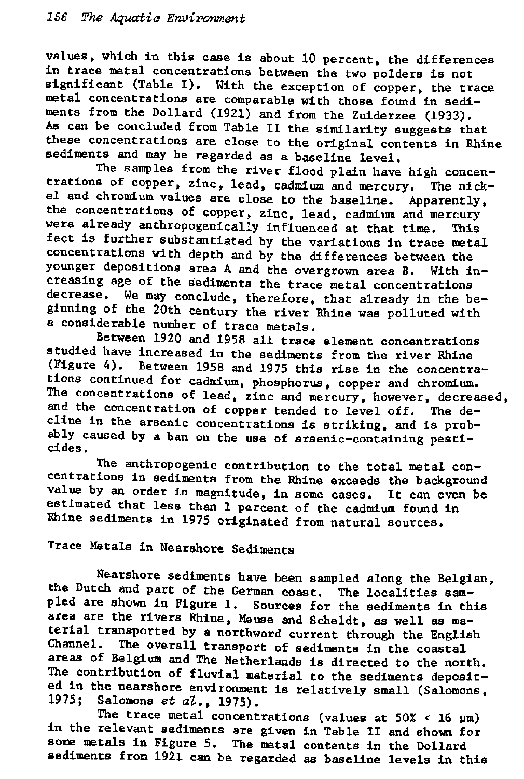values, which in this case is about 10 percent, the differences in trace metal concentrations between the two polders is not significant (Table I). With the exception of copper, the trace metal concentrations are comparable with those found in sediments from the Dollard (1921) and from the Zuiderzee (1933). As can be concluded from Table II the similarity suggests that these concentrations are close to the original contents in Rhine sediments and may be regarded as a baseline level.

The samples from the river flood plain have high concentrations of copper, zinc, lead, cadmium and mercury. The nickel and chromium values are close to the baseline. Apparently, the concentrations of copper, zinc, lead, cadmium and mercury were already anthropogenically influenced at that time. This fact is further substantiated by the variations in trace metal concentrations with depth and by the differences between the younger depositions area A and the overgrown area B. With increasing age of the sediments the trace metal concentrations decrease. We may conclude, therefore, that already in the beginning of the 20th century the river Rhine was polluted with a considerable number of trace metals.

Between 1920 and 1958 all trace element concentrations studied have increased in the sediments from the river Rhine (Figure 4). Between 1958 and 1975 this rise in the concentrations continued for cadmium, phosphorus, copper and chromium. The concentrations of lead, zinc and mercury, however, decreased, and the concentration of copper tended to level off. The decline in the arsenic concentrations is striking, and is probably caused by a ban on the use of arsenic-containing pesticides .

The anthropogenic contribution to the total metal concentrations in sediments from the Rhine exceeds the background value by an order in magnitude, in some cases. It can even be estimated that less than 1 percent of the cadmium found in Rhine sediments in 1975 originated from natural sources.

Trace Metals in Nearshore Sediments

Nearshore sediments have been sampled along the Belgian, the Dutch and part of the German coast. The localities sampled are shown in Figure 1. Sources for the sediments in this area are the rivers Rhine, Meuse and Scheldt, as well as material transported by a northward current through the English Channel. The overall transport of sediments in the coastal areas of Belgium and The Netherlands is directed to the north. The contribution of fluvial material to the sediments deposited in the nearshore environment is relatively small (Salomons, 1975; Salomons *et al.,* 1975).

The trace metal concentrations (values at  $50\% < 16$  µm) in the relevant sediments are given in Table II and shown for some metals in Figure 5. The metal contents in the Dollard sediments from 1921 can be regarded as baseline levels in this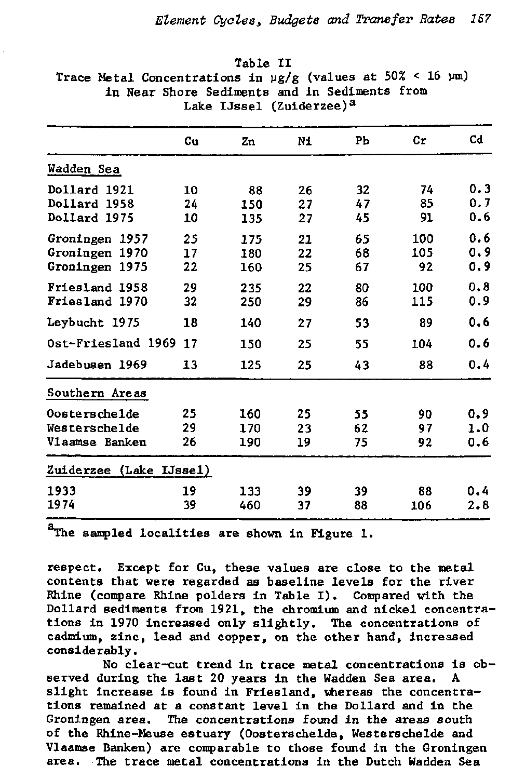|                         | Cu | Zn  | Ni | PЪ | Cr  | Cd  |
|-------------------------|----|-----|----|----|-----|-----|
| Wadden Sea              |    |     |    |    |     |     |
| Dollard 1921            | 10 | 88  | 26 | 32 | 74  | 0.3 |
| Dollard 1958            | 24 | 150 | 27 | 47 | 85  | 0.7 |
| Dollard 1975            | 10 | 135 | 27 | 45 | 91  | 0.6 |
| Groningen 1957          | 25 | 175 | 21 | 65 | 100 | 0.6 |
| Groningen 1970          | 17 | 180 | 22 | 68 | 105 | 0.9 |
| Groningen 1975          | 22 | 160 | 25 | 67 | 92  | 0.9 |
| Friesland 1958          | 29 | 235 | 22 | 80 | 100 | 0.8 |
| Friesland 1970          | 32 | 250 | 29 | 86 | 115 | 0.9 |
| Leybucht 1975           | 18 | 140 | 27 | 53 | 89  | 0.6 |
| Ost-Friesland 1969      | 17 | 150 | 25 | 55 | 104 | 0.6 |
| Jadebusen 1969          | 13 | 125 | 25 | 43 | 88  | 0.4 |
| Southern Areas          |    |     |    |    |     |     |
| Oosterschelde           | 25 | 160 | 25 | 55 | 90  | 0.9 |
| Westerschelde           | 29 | 170 | 23 | 62 | 97  | 1.0 |
| Vlaamse Banken          | 26 | 190 | 19 | 75 | 92  | 0.6 |
| Zuiderzee (Lake IJssel) |    |     |    |    |     |     |
| 1933                    | 19 | 133 | 39 | 39 | 88  | 0.4 |
| 1974                    | 39 | 460 | 37 | 88 | 106 | 2.8 |
|                         |    |     |    |    |     |     |

Table II Trace Metal Concentrations in  $\frac{\mu g}{g}$  (values at 50% < 16  $\mu$ m) in Near Shore Sediments and in Sediments from Lake IJssel (Zuiderzee)<sup>a</sup>

<sup>a</sup>The sampled localities are shown in Figure 1.

respect. Except for Cu, these values are close to the metal contents that were regarded as baseline levels for the river Rhine (compare Rhine polders in Table I). Compared with the Dollard sediments from 1921, the chromium and nickel concentrations in 1970 increased only slightly. The concentrations of cadmium, zinc, lead and copper, on the other hand, increased considerably.

No clear-cut trend in trace metal concentrations is observed during the last 20 years in the Wadden Sea area. A slight increase is found in Friesland, whereas the concentrations remained at a constant level in the Dollard and in the Groningen area. The concentrations found in the areas south of the Rhine-Meuse estuary (Oosterschelde, Westerschelde and Vlaamse Banken) are comparable to those found in the Groningen area. The trace metal concentrations in the Dutch Wadden Sea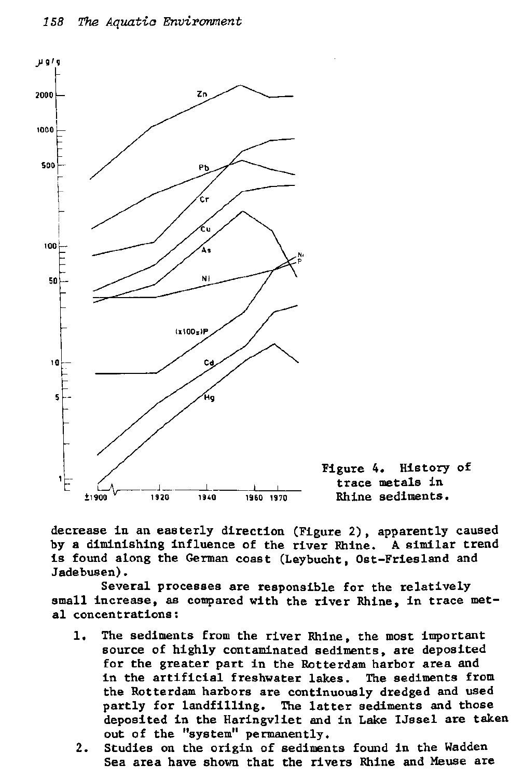

decrease in an easterly direction (Figure 2) , apparently caused by a diminishing influence of the river Rhine. A similar trend is found along the German coast (Leybucht, Ost-Friesland and Jadebusen).

Several processes are responsible for the relatively small increase, as compared with the river Rhine, in trace metal concentrations:

- 1. The sediments from the river Rhine, the most important source of highly contaminated sediments, are deposited for the greater part in the Rotterdam harbor area and in the artificial freshwater lakes. The sediments from the Rotterdam harbors are continuously dredged and used partly for landfilling. The latter sediments and those deposited in the Haringvliet and in Lake IJssel are taken out of the "system" permanently.
- 2. Studies on the origin of sediments found in the Wadden Sea area have shown that the rivers Rhine and Meuse are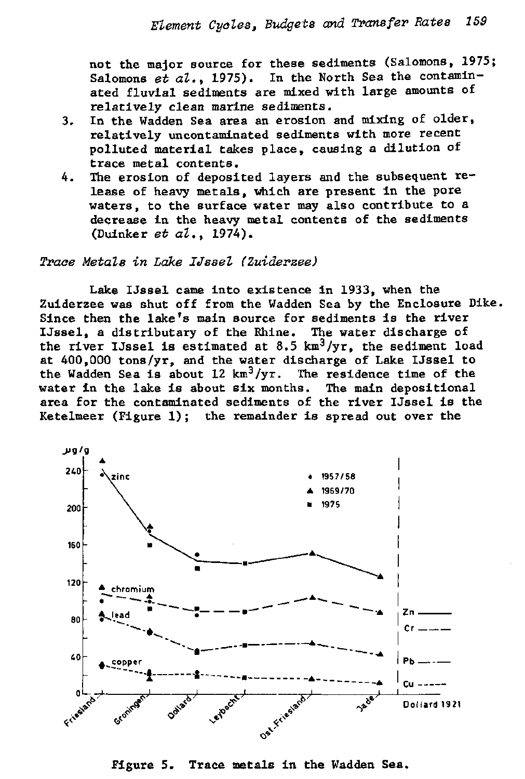not the major source for these sediments (Salomons, 1975; Salomons  $e\bar{t}$  *al.*, 1975). In the North Sea the contaminated fluvial sediments are mixed with large amounts of relatively clean marine sediments.

- 3. In the Wadden Sea area an erosion and mixing of older, relatively uncontaminated sediments with more recent polluted material takes place, causing a dilution of trace metal contents.
- 4. The erosion of deposited layers and the subsequent release of heavy metals, which are present in the pore waters, to the surface water may also contribute to a decrease in the heavy metal contents of the sediments (Duinker *et al.,* 1974).

# *Trace Metals in Lake Ussel (Zuiderzee)*

Lake Ussel came into existence in 1933, when the Zuiderzee was shut off from the Wadden Sea by the Enclosure Dike. Since then the lake's main source for sediments is the river Ussel, a distributary of the Rhine. The water discharge of the river IJssel is estimated at 8.5  $km^3/yr$ , the sediment load at 400,000 tons/yr, and the water discharge of Lake Ussel to the Wadden Sea is about 12  $km^3/yr$ . The residence time of the water in the lake is about six months. The main depositional area for the contaminated sediments of the river Ussel is the Ketelmeer (Figure 1); the remainder is spread out over the



Figure 5. Trace metals in the Wadden Sea.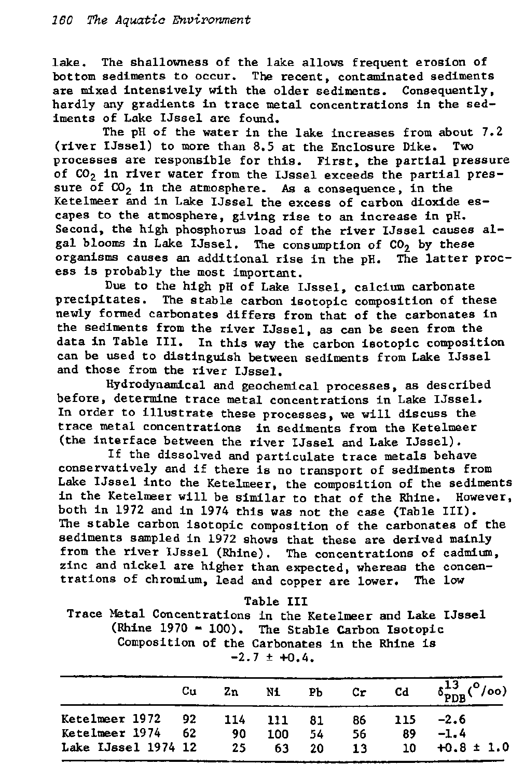lake. The shallowness of the lake allows frequent erosion of bottom sediments to occur. The recent, contaminated sediments are mixed intensively with the older sediments. Consequently, hardly any gradients in trace metal concentrations in the sediments of Lake IJssel are found.

The pH of the water in the lake increases from about 7.2 (river IJssel) to more than  $8.5$  at the Enclosure Dike. Two processes are responsible for this. First, the partial pressure of CO<sub>2</sub> in river water from the IJssel exceeds the partial pressure of  $CO<sub>2</sub>$  in the atmosphere. As a consequence, in the Ketelmeer and in Lake IJssel the excess of carbon dioxide escapes to the atmosphere, giving rise to an increase in pH. Second, the high phosphorus load of the river IJssel causes algal blooms in Lake IJssel. The consumption of  $CO<sub>2</sub>$  by these organisms causes an additional rise in the pH. The latter process is probably the most important.

Due to the high pH of Lake IJssel, calcium carbonate precipitates. The stable carbon isotopic composition of these newly formed carbonates differs from that of the carbonates in the sediments from the river IJssel, as can be seen from the data in Table III. In this way the carbon isotopic composition can be used to distinguish between sediments from Lake IJssel and those from the river IJssel.

Hydrodynamical and geochemical processes, as described before, determine trace metal concentrations in Lake IJssel. In order to illustrate these processes, we will discuss the trace metal concentrations in sediments from the Ketelmeer (the interface between the river IJssel and Lake IJssel).

If the dissolved and particulate trace metals behave conservatively and if there is no transport of sediments from Lake IJssel into the Ketelmeer, the composition of the sediments in the Ketelmeer will be similar to that of the Rhine. However, both in 1972 and in 1974 this was not the case (Table III). The stable carbon isotopic composition of the carbonates of the sediments sampled in 1972 shows that these are derived mainly from the river IJssel (Rhine). The concentrations of cadmium, zinc and nickel are higher than expected, whereas the concentrations of chromium, lead and copper are lower. The low

# Table III

Trace Metal Concentrations in the Ketelmeer and Lake IJssel (Rhine 1970 = 100). The Stable Carbon Isotopic Composition of the Carbonates in the Rhine is  $-2.7 \pm +0.4$ .

|                     | Cu  | Zn   | Ni  | PЪ | Сr | Cd  | $\delta_{\rm PDR}^{13}({}^{\rm o}/\rm{oo})$ |
|---------------------|-----|------|-----|----|----|-----|---------------------------------------------|
| Ketelmeer 1972      | 92. | -114 | 111 | 81 | 86 | 115 | $-2.6$                                      |
| Ketelmeer 1974      | 62  | 90   | 100 | 54 | 56 | 89  | $-1.4$                                      |
| Lake IJssel 1974 12 |     | 25   | 63  | 20 | 13 | 10  | $+0.8 \pm 1.0$                              |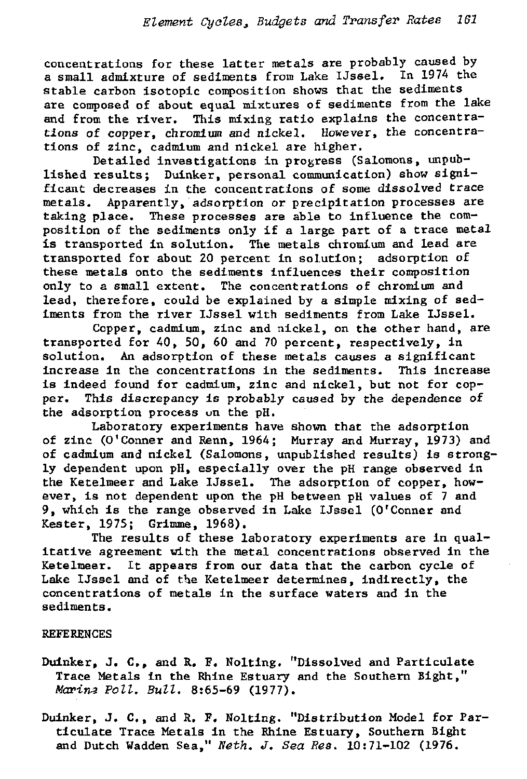concentrations for these latter metals are probably caused by a small admixture of sediments from Lake IJssel. In 1974 the stable carbon isotopic composition shows that the sediments are composed of about equal mixtures of sediments from the lake and from the river. This mixing ratio explains the concentrations of copper, chromium and nickel. However, the concentrations of zinc, cadmium and nickel are higher.

Detailed investigations in progress (Salomons, unpublished results; Duinker, personal communication) show significant decreases in the concentrations of some dissolved trace metals. Apparently, adsorption or precipitation processes are taking place. These processes are able to influence the composition of the sediments only if a large part of a trace metal is transported in solution. The metals chromium and lead are transported for about 20 percent in solution; adsorption of these metals onto the sediments influences their composition only to a small extent. The concentrations of chromium and lead, therefore, could be explained by a simple mixing of sediments from the river IJssel with sediments from Lake IJssel.

Copper, cadmium, zinc and nickel, on the other hand, are transported for 40, 50, 60 and 70 percent, respectively, in solution. An adsorption of these metals causes a significant increase in the concentrations in the sediments. This increase is indeed found for cadmium, zinc and nickel, but not for copper. This discrepancy is probably caused by the dependence of the adsorption process un the pH.

Laboratory experiments have shown that the adsorption of zinc (0'Conner and Renn, 1964; Murray and Murray, 1973) and of cadmium and nickel (Salomons, unpublished results) is strongly dependent upon pH, especially over the pH range observed in the Ketelmeer and Lake IJssel. The adsorption of copper, however, is not dependent upon the pH between pH values of 7 and 9, which is the range observed in Lake IJssel (O'Conner and Rester, 1975; Grimme, 1968).

The results of these laboratory experiments are in qualitative agreement with the metal concentrations observed in the Ketelmeer. It appears from our data that the carbon cycle of Lake IJssel and of the Ketelmeer determines, indirectly, the concentrations of metals in the surface waters and in the sediments.

# REFERENCES

- Duinker, J. C., and R. F. Nolting. "Dissolved and Particulate Trace Metals in the Rhine Estuary and the Southern Bight," *Marina Poll. Bull.* 8:65-69 (1977).
- Duinker, J. C., and R. F. Nolting. "Distribution Model for Particulate Trace Metals in the Rhine Estuary, Southern Bight and Dutch Wadden Sea," *Neth. J. Sea Res.* 10:71-102 (1976.